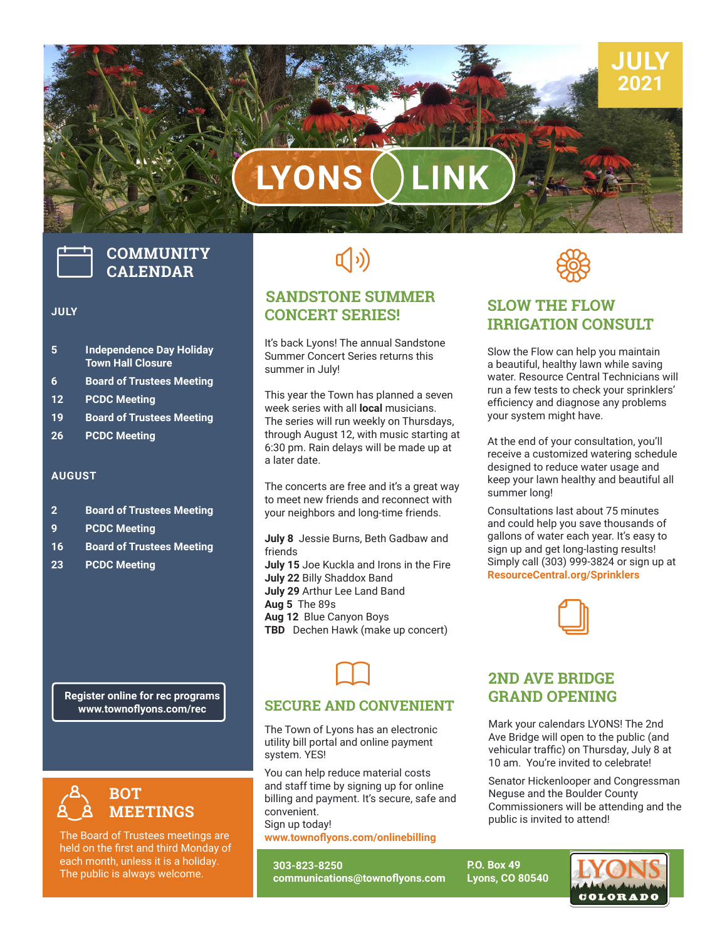# **LYONS LINK**

## **COMMUNITY CALENDAR**

#### **JULY**

- **5 Independence Day Holiday Town Hall Closure**
- **6 Board of Trustees Meeting**
- **12 PCDC Meeting**
- **19 Board of Trustees Meeting**
- **26 PCDC Meeting**

#### **AUGUST**

- **2 Board of Trustees Meeting**
- **9 PCDC Meeting**
- **16 Board of Trustees Meeting**
- **23 PCDC Meeting**

**Register online for rec programs www.townoflyons.com/rec**



The Board of Trustees meetings are held on the first and third Monday of each month, unless it is a holiday. The public is always welcome.

## $\left(\hspace{-2pt}\left(\cdot\right)\right)$

#### **SANDSTONE SUMMER CONCERT SERIES!**

It's back Lyons! The annual Sandstone Summer Concert Series returns this summer in July!

This year the Town has planned a seven week series with all **local** musicians. The series will run weekly on Thursdays, through August 12, with music starting at 6:30 pm. Rain delays will be made up at a later date.

The concerts are free and it's a great way to meet new friends and reconnect with your neighbors and long-time friends.

**July 8** Jessie Burns, Beth Gadbaw and friends

**July 15** Joe Kuckla and Irons in the Fire **July 22** Billy Shaddox Band **July 29** Arthur Lee Land Band **Aug 5** The 89s

- **Aug 12** Blue Canyon Boys
- **TBD** Dechen Hawk (make up concert)

 $\Box$ 



**JULY 2021**

#### **SLOW THE FLOW IRRIGATION CONSULT**

Slow the Flow can help you maintain a beautiful, healthy lawn while saving water. Resource Central Technicians will run a few tests to check your sprinklers' efficiency and diagnose any problems your system might have.

At the end of your consultation, you'll receive a customized watering schedule designed to reduce water usage and keep your lawn healthy and beautiful all summer long!

Consultations last about 75 minutes and could help you save thousands of gallons of water each year. It's easy to sign up and get long-lasting results! Simply call (303) 999-3824 or sign up at **ResourceCentral.org/Sprinklers**



#### **SECURE AND CONVENIENT**

ty bill po<br>em. YE:<br>can hel The Town of Lyons has an electronic utility bill portal and online payment system. YES!

**DID YOU KNOW?** You can help reduce material costs and staff time by signing up for online billing and payment. It's secure, safe and convenient.

Sign up today! **www.townoflyons.com/onlinebilling**

**303-823-8250 communications@townoflyons.com**

#### **2ND AVE BRIDGE GRAND OPENING**

Mark your calendars LYONS! The 2nd Ave Bridge will open to the public (and vehicular traffic) on Thursday, July 8 at 10 am. You're invited to celebrate!

Senator Hickenlooper and Congressman Neguse and the Boulder County Commissioners will be attending and the public is invited to attend!

**P.O. Box 49 Lyons, CO 80540**